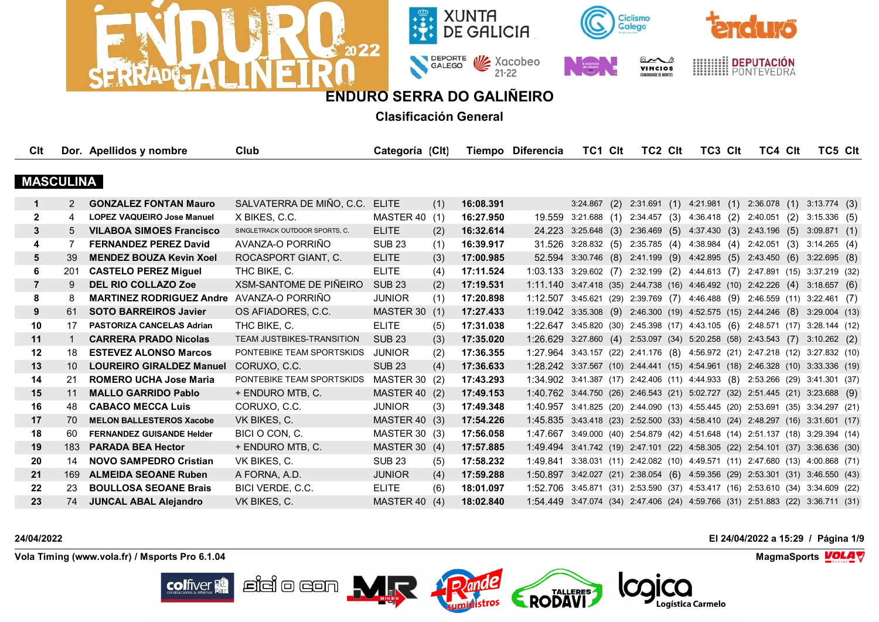



**Clasificación General**

| Clt              |     | Dor. Apellidos y nombre           | Club                             | Categoría (Clt)      |     |           | Tiempo Diferencia                                                              | TC1 CIt                                                     | TC2 CIt                                | TC3 CIt | TC4 Clt                   | TC5 Clt                                                               |  |
|------------------|-----|-----------------------------------|----------------------------------|----------------------|-----|-----------|--------------------------------------------------------------------------------|-------------------------------------------------------------|----------------------------------------|---------|---------------------------|-----------------------------------------------------------------------|--|
|                  |     |                                   |                                  |                      |     |           |                                                                                |                                                             |                                        |         |                           |                                                                       |  |
| <b>MASCULINA</b> |     |                                   |                                  |                      |     |           |                                                                                |                                                             |                                        |         |                           |                                                                       |  |
| $\mathbf 1$      | 2   | <b>GONZALEZ FONTAN Mauro</b>      | SALVATERRA DE MIÑO, C.C.         | <b>ELITE</b>         | (1) | 16:08.391 |                                                                                | $3:24.867$ (2)                                              | 2:31.691 (1) 4:21.981 (1) 2:36.078 (1) |         |                           | 3:13.774(3)                                                           |  |
| $\mathbf{2}$     | 4   | <b>LOPEZ VAQUEIRO Jose Manuel</b> | X BIKES, C.C.                    | MASTER 40            | (1) | 16:27.950 |                                                                                | 19.559 3:21.688 (1)                                         | 2:34.457(3)                            |         | 4:36.418 (2) 2:40.051 (2) | $3:15.336$ (5)                                                        |  |
| 3                | 5   | <b>VILABOA SIMOES Francisco</b>   | SINGLETRACK OUTDOOR SPORTS, C.   | <b>ELITE</b>         | (2) | 16:32.614 |                                                                                | 24.223 3:25.648 (3) 2:36.469 (5) 4:37.430 (3) 2:43.196 (5)  |                                        |         |                           | 3:09.871(1)                                                           |  |
| 4                |     | <b>FERNANDEZ PEREZ David</b>      | AVANZA-O PORRIÑO                 | <b>SUB 23</b>        | (1) | 16:39.917 | 31.526                                                                         | $3:28.832$ (5) $2:35.785$ (4) $4:38.984$ (4) $2:42.051$ (3) |                                        |         |                           | 3:14.265(4)                                                           |  |
| 5                | 39  | <b>MENDEZ BOUZA Kevin Xoel</b>    | ROCASPORT GIANT, C.              | <b>ELITE</b>         | (3) | 17:00.985 | 52.594                                                                         | 3:30.746 (8) 2:41.199 (9) 4:42.895 (5) 2:43.450 (6)         |                                        |         |                           | 3:22.695(8)                                                           |  |
| 6                | 201 | <b>CASTELO PEREZ Miguel</b>       | THC BIKE, C.                     | <b>ELITE</b>         | (4) | 17:11.524 | 1:03.133 3:29.602 (7) 2:32.199 (2) 4:44.613 (7) 2:47.891 (15) 3:37.219 (32)    |                                                             |                                        |         |                           |                                                                       |  |
| $\overline{7}$   | 9   | <b>DEL RIO COLLAZO Zoe</b>        | XSM-SANTOME DE PIÑEIRO           | <b>SUB 23</b>        | (2) | 17:19.531 | $1:11.140$ 3:47.418 (35) 2:44.738 (16) 4:46.492 (10) 2:42.226 (4)              |                                                             |                                        |         |                           | 3:18.657(6)                                                           |  |
| 8                | 8   | <b>MARTINEZ RODRIGUEZ Andre</b>   | AVANZA-O PORRIÑO                 | <b>JUNIOR</b>        | (1) | 17:20.898 | 1:12.507 3:45.621 (29) 2:39.769 (7) 4:46.488 (9) 2:46.559 (11) 3:22.461 (7)    |                                                             |                                        |         |                           |                                                                       |  |
| 9                | 61  | <b>SOTO BARREIROS Javier</b>      | OS AFIADORES, C.C.               | <b>MASTER 30 (1)</b> |     | 17:27.433 | $1:19.042$ $3:35.308$ (9) $2:46.300$ (19) $4:52.575$ (15) $2:44.246$ (8)       |                                                             |                                        |         |                           | 3:29.004(13)                                                          |  |
| 10               | 17  | <b>PASTORIZA CANCELAS Adrian</b>  | THC BIKE, C.                     | <b>ELITE</b>         | (5) | 17:31.038 | 1:22.647 3:45.820 (30) 2:45.398 (17) 4:43.105 (6) 2:48.571 (17) 3:28.144 (12)  |                                                             |                                        |         |                           |                                                                       |  |
| 11               |     | <b>CARRERA PRADO Nicolas</b>      | <b>TEAM JUSTBIKES-TRANSITION</b> | <b>SUB 23</b>        | (3) | 17:35.020 | 1:26.629                                                                       | 3:27.860 (4) 2:53.097 (34) 5:20.258 (58) 2:43.543 (7)       |                                        |         |                           | $3:10.262$ (2)                                                        |  |
| $12 \,$          | 18  | <b>ESTEVEZ ALONSO Marcos</b>      | PONTEBIKE TEAM SPORTSKIDS        | <b>JUNIOR</b>        | (2) | 17:36.355 | 1:27.964 3:43.157 (22) 2:41.176 (8) 4:56.972 (21) 2:47.218 (12) 3:27.832 (10)  |                                                             |                                        |         |                           |                                                                       |  |
| 13               | 10  | <b>LOUREIRO GIRALDEZ Manuel</b>   | CORUXO, C.C.                     | <b>SUB 23</b>        | (4) | 17:36.633 | 1:28.242 3:37.567 (10) 2:44.441 (15) 4:54.961 (18) 2:46.328 (10) 3:33.336 (19) |                                                             |                                        |         |                           |                                                                       |  |
| 14               | 21  | <b>ROMERO UCHA Jose Maria</b>     | PONTEBIKE TEAM SPORTSKIDS        | MASTER 30 (2)        |     | 17:43.293 | 1:34.902 3:41.387 (17) 2:42.406 (11) 4:44.933 (8) 2:53.266 (29) 3:41.301 (37)  |                                                             |                                        |         |                           |                                                                       |  |
| 15               | 11  | <b>MALLO GARRIDO Pablo</b>        | + ENDURO MTB, C.                 | <b>MASTER 40 (2)</b> |     | 17:49.153 | 1:40.762 3:44.750 (26) 2:46.543 (21) 5:02.727 (32) 2:51.445 (21) 3:23.688 (9)  |                                                             |                                        |         |                           |                                                                       |  |
| 16               | 48. | <b>CABACO MECCA Luis</b>          | CORUXO, C.C.                     | <b>JUNIOR</b>        | (3) | 17:49.348 | 1:40.957 3:41.825 (20) 2:44.090 (13) 4:55.445 (20) 2:53.691 (35) 3:34.297 (21) |                                                             |                                        |         |                           |                                                                       |  |
| 17               | 70  | <b>MELON BALLESTEROS Xacobe</b>   | VK BIKES, C.                     | MASTER 40 (3)        |     | 17:54.226 | 1:45.835 3:43.418 (23) 2:52.500 (33) 4:58.410 (24) 2:48.297 (16) 3:31.601 (17) |                                                             |                                        |         |                           |                                                                       |  |
| 18               | 60  | <b>FERNANDEZ GUISANDE Helder</b>  | BICI O CON, C.                   | MASTER 30 (3)        |     | 17:56.058 | 1:47.667                                                                       |                                                             |                                        |         |                           | 3:49.000 (40) 2:54.879 (42) 4:51.648 (14) 2:51.137 (18) 3:29.394 (14) |  |
| 19               | 183 | <b>PARADA BEA Hector</b>          | + ENDURO MTB, C.                 | MASTER 30 (4)        |     | 17:57.885 | 1:49.494                                                                       |                                                             |                                        |         |                           | 3:41.742 (19) 2:47.101 (22) 4:58.305 (22) 2:54.101 (37) 3:36.636 (30) |  |
| 20               | 14  | <b>NOVO SAMPEDRO Cristian</b>     | VK BIKES, C.                     | <b>SUB 23</b>        | (5) | 17:58.232 | 1:49.841                                                                       |                                                             |                                        |         |                           | 3:38.031 (11) 2:42.082 (10) 4:49.571 (11) 2:47.680 (13) 4:00.868 (71) |  |
| 21               | 169 | <b>ALMEIDA SEOANE Ruben</b>       | A FORNA, A.D.                    | <b>JUNIOR</b>        | (4) | 17:59.288 | 1:50.897                                                                       |                                                             |                                        |         |                           | 3:42.027 (21) 2:38.054 (6) 4:59.356 (29) 2:53.301 (31) 3:46.550 (43)  |  |
| 22               | 23  | <b>BOULLOSA SEOANE Brais</b>      | BICI VERDE, C.C.                 | <b>ELITE</b>         | (6) | 18:01.097 | 1:52.706                                                                       |                                                             |                                        |         |                           | 3:45.871 (31) 2:53.590 (37) 4:53.417 (16) 2:53.610 (34) 3:34.609 (22) |  |
| 23               | 74  | <b>JUNCAL ABAL Aleiandro</b>      | VK BIKES, C.                     | MASTER 40            | (4) | 18:02.840 | 1:54.449                                                                       |                                                             |                                        |         |                           | 3:47.074 (34) 2:47.406 (24) 4:59.766 (31) 2:51.883 (22) 3:36.711 (31) |  |

**colfiver** 

**24/04/2022 El 24/04/2022 a 15:29 / Página 1/9**

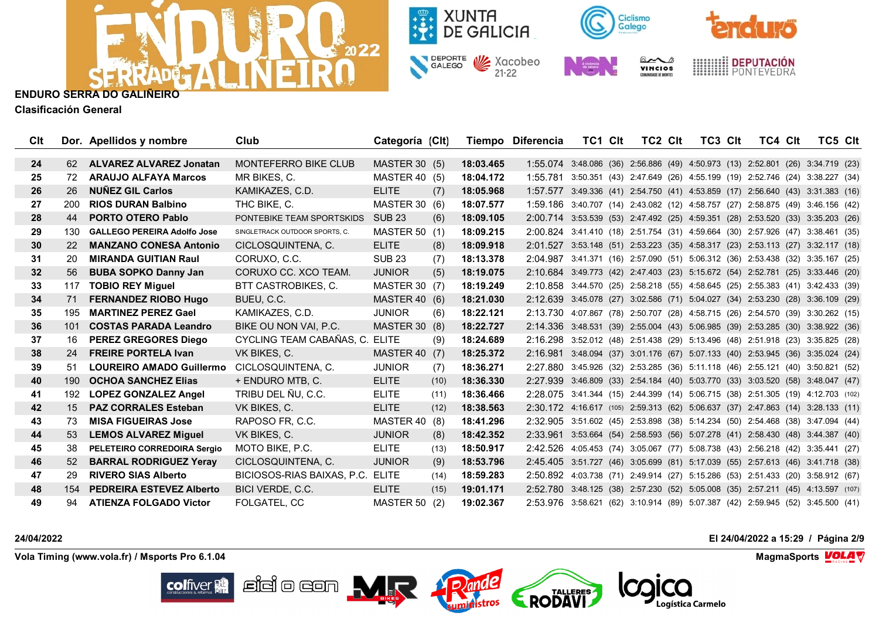



**Clasificación General**

| Clt |     | Dor. Apellidos y nombre            | Club                             | Categoría (CIt)      |      |           | Tiempo Diferencia                                                               | TC1 CIt                                                               | TC2 CIt | TC3 CIt | TC4 CIt | TC5 Clt |  |
|-----|-----|------------------------------------|----------------------------------|----------------------|------|-----------|---------------------------------------------------------------------------------|-----------------------------------------------------------------------|---------|---------|---------|---------|--|
| 24  | 62  | ALVAREZ ALVAREZ Jonatan            | <b>MONTEFERRO BIKE CLUB</b>      | MASTER 30 (5)        |      | 18:03.465 | 1:55.074 3:48.086 (36) 2:56.886 (49) 4:50.973 (13) 2:52.801 (26) 3:34.719 (23)  |                                                                       |         |         |         |         |  |
| 25  | 72  | <b>ARAUJO ALFAYA Marcos</b>        | MR BIKES, C.                     | MASTER 40 (5)        |      | 18:04.172 | 1:55.781                                                                        | 3:50.351 (43) 2:47.649 (26) 4:55.199 (19) 2:52.746 (24) 3:38.227 (34) |         |         |         |         |  |
| 26  | 26  | <b>NUNEZ GIL Carlos</b>            | KAMIKAZES, C.D.                  | <b>ELITE</b>         | (7)  | 18:05.968 | 1:57.577                                                                        | 3:49.336 (41) 2:54.750 (41) 4:53.859 (17) 2:56.640 (43) 3:31.383 (16) |         |         |         |         |  |
| 27  | 200 | <b>RIOS DURAN Balbino</b>          | THC BIKE, C.                     | MASTER 30 (6)        |      | 18:07.577 | 1:59.186 3:40.707 (14) 2:43.082 (12) 4:58.757 (27) 2:58.875 (49) 3:46.156 (42)  |                                                                       |         |         |         |         |  |
| 28  | 44  | <b>PORTO OTERO Pablo</b>           | PONTEBIKE TEAM SPORTSKIDS        | <b>SUB 23</b>        | (6)  | 18:09.105 | 2:00.714 3:53.539 (53) 2:47.492 (25) 4:59.351 (28) 2:53.520 (33) 3:35.203 (26)  |                                                                       |         |         |         |         |  |
| 29  | 130 | <b>GALLEGO PEREIRA Adolfo Jose</b> | SINGLETRACK OUTDOOR SPORTS, C.   | MASTER 50 (1)        |      | 18:09.215 | 2:00.824 3:41.410 (18) 2:51.754 (31) 4:59.664 (30) 2:57.926 (47) 3:38.461 (35)  |                                                                       |         |         |         |         |  |
| 30  | 22  | <b>MANZANO CONESA Antonio</b>      | CICLOSQUINTENA, C.               | <b>ELITE</b>         | (8)  | 18:09.918 | 2:01.527 3:53.148 (51) 2:53.223 (35) 4:58.317 (23) 2:53.113 (27) 3:32.117 (18)  |                                                                       |         |         |         |         |  |
| 31  | 20  | <b>MIRANDA GUITIAN Raul</b>        | CORUXO, C.C.                     | <b>SUB 23</b>        | (7)  | 18:13.378 | 2:04.987 3:41.371 (16) 2:57.090 (51) 5:06.312 (36) 2:53.438 (32) 3:35.167 (25)  |                                                                       |         |         |         |         |  |
| 32  | 56  | <b>BUBA SOPKO Danny Jan</b>        | CORUXO CC. XCO TEAM.             | <b>JUNIOR</b>        | (5)  | 18:19.075 | 2:10.684 3:49.773 (42) 2:47.403 (23) 5:15.672 (54) 2:52.781 (25) 3:33.446 (20)  |                                                                       |         |         |         |         |  |
| 33  | 117 | <b>TOBIO REY Miguel</b>            | BTT CASTROBIKES, C.              | <b>MASTER 30 (7)</b> |      | 18:19.249 | 2:10.858 3:44.570 (25) 2:58.218 (55) 4:58.645 (25) 2:55.383 (41) 3:42.433 (39)  |                                                                       |         |         |         |         |  |
| 34  | 71  | <b>FERNANDEZ RIOBO Hugo</b>        | BUEU, C.C.                       | <b>MASTER 40 (6)</b> |      | 18:21.030 | 2:12.639 3:45.078 (27) 3:02.586 (71) 5:04.027 (34) 2:53.230 (28) 3:36.109 (29)  |                                                                       |         |         |         |         |  |
| 35  | 195 | <b>MARTINEZ PEREZ Gael</b>         | KAMIKAZES, C.D.                  | <b>JUNIOR</b>        | (6)  | 18:22.121 | 2:13.730                                                                        | 4:07.867 (78) 2:50.707 (28) 4:58.715 (26) 2:54.570 (39) 3:30.262 (15) |         |         |         |         |  |
| 36  | 101 | <b>COSTAS PARADA Leandro</b>       | BIKE OU NON VAI. P.C.            | <b>MASTER 30 (8)</b> |      | 18:22.727 | 2:14.336 3:48.531 (39) 2:55.004 (43) 5:06.985 (39) 2:53.285 (30) 3:38.922 (36)  |                                                                       |         |         |         |         |  |
| 37  | 16  | <b>PEREZ GREGORES Diego</b>        | CYCLING TEAM CABAÑAS, C. ELITE   |                      | (9)  | 18:24.689 | 2:16.298 3:52.012 (48) 2:51.438 (29) 5:13.496 (48) 2:51.918 (23) 3:35.825 (28)  |                                                                       |         |         |         |         |  |
| 38  | 24  | <b>FREIRE PORTELA Ivan</b>         | VK BIKES, C.                     | <b>MASTER 40 (7)</b> |      | 18:25.372 | 2:16.981                                                                        | 3:48.094 (37) 3:01.176 (67) 5:07.133 (40) 2:53.945 (36) 3:35.024 (24) |         |         |         |         |  |
| 39  | 51  | <b>LOUREIRO AMADO Guillermo</b>    | CICLOSQUINTENA, C.               | <b>JUNIOR</b>        | (7)  | 18:36.271 | 2:27.880                                                                        | 3:45.926 (32) 2:53.285 (36) 5:11.118 (46) 2:55.121 (40) 3:50.821 (52) |         |         |         |         |  |
| 40  | 190 | <b>OCHOA SANCHEZ Elias</b>         | + ENDURO MTB, C.                 | <b>ELITE</b>         | (10) | 18:36.330 | 2:27.939 3:46.809 (33) 2:54.184 (40) 5:03.770 (33) 3:03.520 (58) 3:48.047 (47)  |                                                                       |         |         |         |         |  |
| 41  | 192 | <b>LOPEZ GONZALEZ Angel</b>        | TRIBU DEL ÑU, C.C.               | <b>ELITE</b>         | (11) | 18:36.466 | 2:28.075 3:41.344 (15) 2:44.399 (14) 5:06.715 (38) 2:51.305 (19) 4:12.703 (102) |                                                                       |         |         |         |         |  |
| 42  | 15  | <b>PAZ CORRALES Esteban</b>        | VK BIKES, C.                     | <b>ELITE</b>         | (12) | 18:38.563 | 2:30.172 4:16.617 (105) 2:59.313 (62) 5:06.637 (37) 2:47.863 (14) 3:28.133 (11) |                                                                       |         |         |         |         |  |
| 43  | 73  | <b>MISA FIGUEIRAS Jose</b>         | RAPOSO FR, C.C.                  | <b>MASTER 40 (8)</b> |      | 18:41.296 | 2:32.905 3:51.602 (45) 2:53.898 (38) 5:14.234 (50) 2:54.468 (38) 3:47.094 (44)  |                                                                       |         |         |         |         |  |
| 44  | 53  | <b>LEMOS ALVAREZ Miguel</b>        | VK BIKES, C.                     | <b>JUNIOR</b>        | (8)  | 18:42.352 | 2:33.961                                                                        | 3:53.664 (54) 2:58.593 (56) 5:07.278 (41) 2:58.430 (48) 3:44.387 (40) |         |         |         |         |  |
| 45  | 38  | PELETEIRO CORREDOIRA Sergio        | MOTO BIKE, P.C.                  | <b>ELITE</b>         | (13) | 18:50.917 | 2:42.526 4:05.453 (74) 3:05.067 (77) 5:08.738 (43) 2:56.218 (42) 3:35.441 (27)  |                                                                       |         |         |         |         |  |
| 46  | 52  | <b>BARRAL RODRIGUEZ Yeray</b>      | CICLOSQUINTENA, C.               | <b>JUNIOR</b>        | (9)  | 18:53.796 | 2:45.405 3:51.727 (46) 3:05.699 (81) 5:17.039 (55) 2:57.613 (46) 3:41.718 (38)  |                                                                       |         |         |         |         |  |
| 47  | 29  | <b>RIVERO SIAS Alberto</b>         | BICIOSOS-RIAS BAIXAS, P.C. ELITE |                      | (14) | 18:59.283 | 2:50.892                                                                        | 4:03.738 (71) 2:49.914 (27) 5:15.286 (53) 2:51.433 (20) 3:58.912 (67) |         |         |         |         |  |
| 48  | 154 | <b>PEDREIRA ESTEVEZ Alberto</b>    | BICI VERDE, C.C.                 | <b>ELITE</b>         | (15) | 19:01.171 | 2:52.780 3:48.125 (38) 2:57.230 (52) 5:05.008 (35) 2:57.211 (45) 4:13.597 (107) |                                                                       |         |         |         |         |  |
| 49  | 94  | <b>ATIENZA FOLGADO Victor</b>      | FOLGATEL, CC                     | MASTER 50            | (2)  | 19:02.367 | 2:53.976 3:58.621 (62) 3:10.914 (89) 5:07.387 (42) 2:59.945 (52) 3:45.500 (41)  |                                                                       |         |         |         |         |  |

 $\sum$ ar

 $\mathbb{E}$ idio con  $\mathbf{M}$ r

**Vola Timing (www.vola.fr) / Msports Pro 6.1.04 MagmaSports VOLA** 

**colfiver** 

**24/04/2022 El 24/04/2022 a 15:29 / Página 2/9**

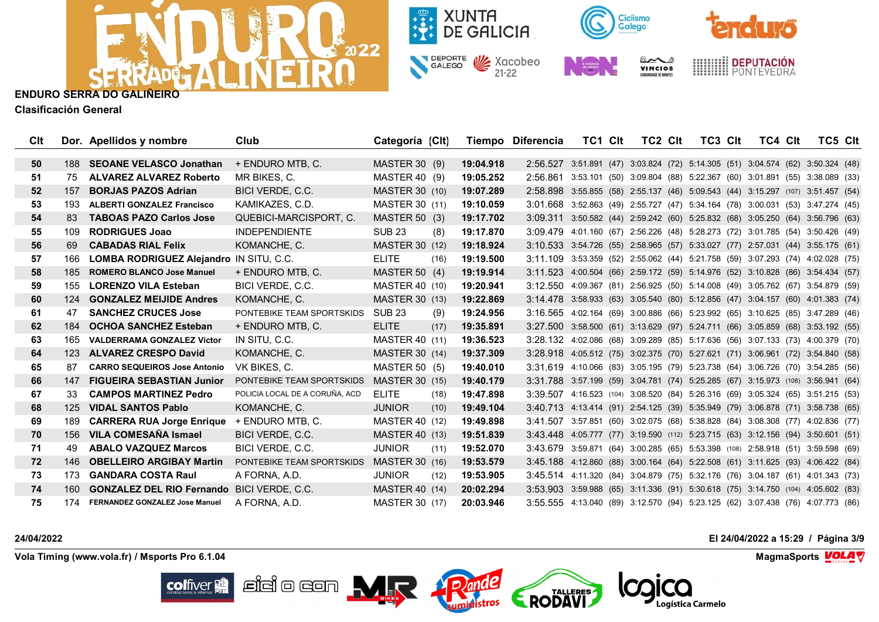



**Clasificación General**

| Clt |     | Dor. Apellidos y nombre                        | Club                           | Categoría (Clt)       |      |           | Tiempo Diferencia                                                               | TC1 CIt                                                               | TC2 Clt | TC3 CIt | TC4 Clt | TC5 Clt |  |
|-----|-----|------------------------------------------------|--------------------------------|-----------------------|------|-----------|---------------------------------------------------------------------------------|-----------------------------------------------------------------------|---------|---------|---------|---------|--|
| 50  | 188 | <b>SEOANE VELASCO Jonathan</b>                 | + ENDURO MTB, C.               | <b>MASTER 30 (9)</b>  |      | 19:04.918 | 2:56.527 3:51.891 (47) 3:03.824 (72) 5:14.305 (51) 3:04.574 (62) 3:50.324 (48)  |                                                                       |         |         |         |         |  |
| 51  | 75  | ALVAREZ ALVAREZ Roberto                        | MR BIKES. C.                   | MASTER 40 (9)         |      | 19:05.252 | 2:56.861                                                                        | 3:53.101 (50) 3:09.804 (88) 5:22.367 (60) 3:01.891 (55) 3:38.089 (33) |         |         |         |         |  |
| 52  | 157 | <b>BORJAS PAZOS Adrian</b>                     | BICI VERDE, C.C.               | <b>MASTER 30 (10)</b> |      | 19:07.289 | 2:58.898 3:55.855 (58) 2:55.137 (46) 5:09.543 (44) 3:15.297 (107) 3:51.457 (54) |                                                                       |         |         |         |         |  |
| 53  | 193 | <b>ALBERTI GONZALEZ Francisco</b>              | KAMIKAZES, C.D.                | MASTER 30 (11)        |      | 19:10.059 | 3:01.668 3:52.863 (49) 2:55.727 (47) 5:34.164 (78) 3:00.031 (53) 3:47.274 (45)  |                                                                       |         |         |         |         |  |
| 54  | 83  | <b>TABOAS PAZO Carlos Jose</b>                 | QUEBICI-MARCISPORT, C.         | <b>MASTER 50 (3)</b>  |      | 19:17.702 | 3:09.311 3:50.582 (44) 2:59.242 (60) 5:25.832 (68) 3:05.250 (64) 3:56.796 (63)  |                                                                       |         |         |         |         |  |
| 55  | 109 | <b>RODRIGUES Joao</b>                          | <b>INDEPENDIENTE</b>           | <b>SUB 23</b>         | (8)  | 19:17.870 | 3:09.479                                                                        | 4.01.160 (67) 2.56.226 (48) 5.28.273 (72) 3.01.785 (54) 3.50.426 (49) |         |         |         |         |  |
| 56  | 69  | <b>CABADAS RIAL Felix</b>                      | KOMANCHE, C.                   | <b>MASTER 30 (12)</b> |      | 19:18.924 | 3:10.533 3:54.726 (55) 2:58.965 (57) 5:33.027 (77) 2:57.031 (44) 3:55.175 (61)  |                                                                       |         |         |         |         |  |
| 57  | 166 | <b>LOMBA RODRIGUEZ Alejandro IN SITU, C.C.</b> |                                | <b>ELITE</b>          | (16) | 19:19.500 | 3:11.109 3:53.359 (52) 2:55.062 (44) 5:21.758 (59) 3:07.293 (74) 4:02.028 (75)  |                                                                       |         |         |         |         |  |
| 58  | 185 | <b>ROMERO BLANCO Jose Manuel</b>               | + ENDURO MTB, C.               | MASTER 50 (4)         |      | 19:19.914 | 3:11.523 4:00.504 (66) 2:59.172 (59) 5:14.976 (52) 3:10.828 (86) 3:54.434 (57)  |                                                                       |         |         |         |         |  |
| 59  | 155 | <b>LORENZO VILA Esteban</b>                    | BICI VERDE, C.C.               | MASTER 40 (10)        |      | 19:20.941 | 3:12.550 4:09.367 (81) 2:56.925 (50) 5:14.008 (49) 3:05.762 (67) 3:54.879 (59)  |                                                                       |         |         |         |         |  |
| 60  | 124 | <b>GONZALEZ MEIJIDE Andres</b>                 | KOMANCHE, C.                   | <b>MASTER 30 (13)</b> |      | 19:22.869 | 3:14.478 3:58.933 (63) 3:05.540 (80) 5:12.856 (47) 3:04.157 (60) 4:01.383 (74)  |                                                                       |         |         |         |         |  |
| 61  | 47  | <b>SANCHEZ CRUCES Jose</b>                     | PONTEBIKE TEAM SPORTSKIDS      | <b>SUB 23</b>         | (9)  | 19:24.956 | 3:16.565 4:02.164 (69) 3:00.886 (66) 5:23.992 (65) 3:10.625 (85) 3:47.289 (46)  |                                                                       |         |         |         |         |  |
| 62  | 184 | <b>OCHOA SANCHEZ Esteban</b>                   | + ENDURO MTB. C.               | <b>ELITE</b>          | (17) | 19:35.891 | 3:27.500 3:58.500 (61) 3:13.629 (97) 5:24.711 (66) 3:05.859 (68) 3:53.192 (55)  |                                                                       |         |         |         |         |  |
| 63  | 165 | <b>VALDERRAMA GONZALEZ Victor</b>              | IN SITU, C.C.                  | <b>MASTER 40 (11)</b> |      | 19:36.523 | 3:28.132 4:02.086 (68) 3:09.289 (85) 5:17.636 (56) 3:07.133 (73) 4:00.379 (70)  |                                                                       |         |         |         |         |  |
| 64  | 123 | <b>ALVAREZ CRESPO David</b>                    | KOMANCHE, C.                   | <b>MASTER 30 (14)</b> |      | 19:37.309 | 3:28.918 4:05.512 (75) 3:02.375 (70) 5:27.621 (71) 3:06.961 (72) 3:54.840 (58)  |                                                                       |         |         |         |         |  |
| 65  | 87  | <b>CARRO SEQUEIROS Jose Antonio</b>            | VK BIKES, C.                   | <b>MASTER 50 (5)</b>  |      | 19:40.010 | 3:31.619                                                                        | 4.10.066 (83) 3:05.195 (79) 5:23.738 (64) 3:06.726 (70) 3:54.285 (56) |         |         |         |         |  |
| 66  | 147 | <b>FIGUEIRA SEBASTIAN Junior</b>               | PONTEBIKE TEAM SPORTSKIDS      | <b>MASTER 30 (15)</b> |      | 19:40.179 | 3:31.788 3:57.199 (59) 3:04.781 (74) 5:25.285 (67) 3:15.973 (108) 3:56.941 (64) |                                                                       |         |         |         |         |  |
| 67  | 33  | <b>CAMPOS MARTINEZ Pedro</b>                   | POLICIA LOCAL DE A CORUÑA. ACD | <b>ELITE</b>          | (18) | 19:47.898 | 3:39.507 4:16.523 (104) 3:08.520 (84) 5:26.316 (69) 3:05.324 (65) 3:51.215 (53) |                                                                       |         |         |         |         |  |
| 68  | 125 | <b>VIDAL SANTOS Pablo</b>                      | KOMANCHE, C.                   | <b>JUNIOR</b>         | (10) | 19:49.104 | 3:40.713 4:13.414 (91) 2:54.125 (39) 5:35.949 (79) 3:06.878 (71) 3:58.738 (65)  |                                                                       |         |         |         |         |  |
| 69  | 189 | <b>CARRERA RUA Jorge Enrique</b>               | + ENDURO MTB, C.               | <b>MASTER 40 (12)</b> |      | 19:49.898 | 3:41.507                                                                        | 3:57.851 (60) 3:02.075 (68) 5:38.828 (84) 3:08.308 (77) 4:02.836 (77) |         |         |         |         |  |
| 70  | 156 | VILA COMESAÑA Ismael                           | BICI VERDE, C.C.               | <b>MASTER 40 (13)</b> |      | 19:51.839 | 3:43.448 4:05.777 (77) 3:19.590 (112) 5:23.715 (63) 3:12.156 (94) 3:50.601 (51) |                                                                       |         |         |         |         |  |
| 71  | 49. | <b>ABALO VAZQUEZ Marcos</b>                    | BICI VERDE, C.C.               | <b>JUNIOR</b>         | (11) | 19:52.070 | 3:43.679 3:59.871 (64) 3:00.285 (65) 5:53.398 (108) 2:58.918 (51) 3:59.598 (69) |                                                                       |         |         |         |         |  |
| 72  | 146 | <b>OBELLEIRO ARGIBAY Martin</b>                | PONTEBIKE TEAM SPORTSKIDS      | <b>MASTER 30 (16)</b> |      | 19:53.579 | 3:45.188                                                                        | 4:12.860 (88) 3:00.164 (64) 5:22.508 (61) 3:11.625 (93) 4:06.422 (84) |         |         |         |         |  |
| 73  | 173 | <b>GANDARA COSTA Raul</b>                      | A FORNA, A.D.                  | <b>JUNIOR</b>         | (12) | 19:53.905 | 3:45.514 4:11.320 (84) 3:04.879 (75) 5:32.176 (76) 3:04.187 (61) 4:01.343 (73)  |                                                                       |         |         |         |         |  |
| 74  | 160 | <b>GONZALEZ DEL RIO Fernando</b>               | BICI VERDE, C.C.               | <b>MASTER 40 (14)</b> |      | 20:02.294 | 3:53.903 3:59.988 (65) 3:11.336 (91) 5:30.618 (75) 3:14.750 (104) 4:05.602 (83) |                                                                       |         |         |         |         |  |
| 75  | 174 | <b>FERNANDEZ GONZALEZ Jose Manuel</b>          | A FORNA, A.D.                  | MASTER 30 (17)        |      | 20:03.946 | 3:55.555 4:13.040 (89) 3:12.570 (94) 5:23.125 (62) 3:07.438 (76) 4:07.773 (86)  |                                                                       |         |         |         |         |  |

**24/04/2022 El 24/04/2022 a 15:29 / Página 3/9**

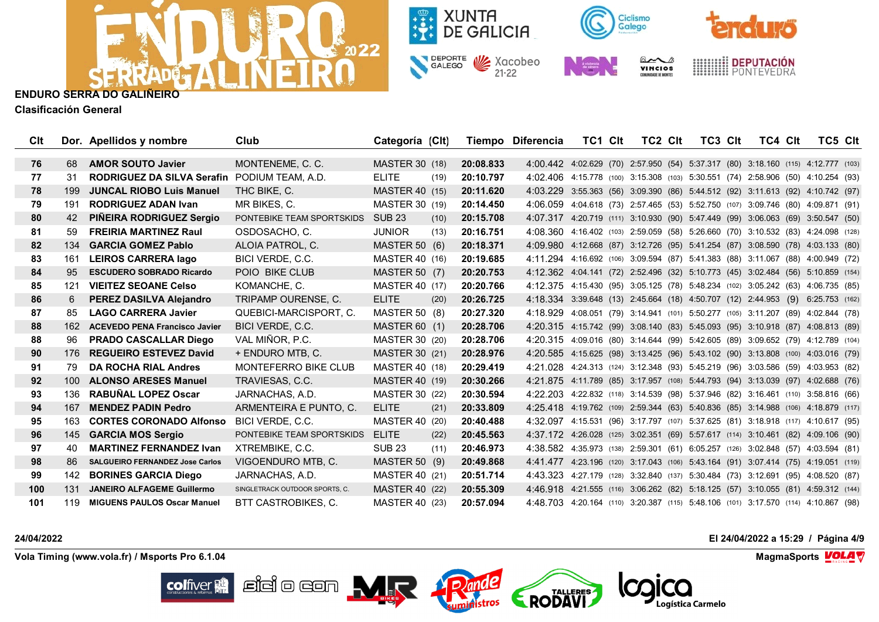



**Clasificación General**

| Clt |     | Dor. Apellidos y nombre                | Club                           | Categoría (CIt)       |      |           | Tiempo Diferencia                                                                  | TC1 CIt                                                                 | TC2 CIt | TC3 CIt | TC4 Clt | TC5 CIt |  |
|-----|-----|----------------------------------------|--------------------------------|-----------------------|------|-----------|------------------------------------------------------------------------------------|-------------------------------------------------------------------------|---------|---------|---------|---------|--|
| 76  | 68  | <b>AMOR SOUTO Javier</b>               | MONTENEME, C. C.               | <b>MASTER 30 (18)</b> |      | 20:08.833 | 4:00.442 4:02.629 (70) 2:57.950 (54) 5:37.317 (80) 3:18.160 (115) 4:12.777 (103)   |                                                                         |         |         |         |         |  |
| 77  | 31  | <b>RODRIGUEZ DA SILVA Serafin</b>      | PODIUM TEAM, A.D.              | <b>ELITE</b>          | (19) | 20:10.797 | 4:02.406 4:15.778 (100) 3:15.308 (103) 5:30.551 (74) 2:58.906 (50) 4:10.254 (93)   |                                                                         |         |         |         |         |  |
| -78 | 199 | <b>JUNCAL RIOBO Luis Manuel</b>        | THC BIKE, C.                   | <b>MASTER 40 (15)</b> |      | 20:11.620 | 4:03.229 3:55.363 (56) 3:09.390 (86) 5:44.512 (92) 3:11.613 (92) 4:10.742 (97)     |                                                                         |         |         |         |         |  |
| 79  | 191 | <b>RODRIGUEZ ADAN Ivan</b>             | MR BIKES, C.                   | MASTER 30 (19)        |      | 20:14.450 | 4:06.059 4:04.618 (73) 2:57.465 (53) 5:52.750 (107) 3:09.746 (80) 4:09.871 (91)    |                                                                         |         |         |         |         |  |
| 80  | 42  | <b>PIÑEIRA RODRIGUEZ Sergio</b>        | PONTEBIKE TEAM SPORTSKIDS      | <b>SUB 23</b>         | (10) | 20:15.708 | 4:07.317 4:20.719 (111) 3:10.930 (90) 5:47.449 (99) 3:06.063 (69) 3:50.547 (50)    |                                                                         |         |         |         |         |  |
| 81  | 59  | <b>FREIRIA MARTINEZ Raul</b>           | OSDOSACHO, C.                  | <b>JUNIOR</b>         | (13) | 20:16.751 | 4:08.360                                                                           | 4:16.402 (103) 2:59.059 (58) 5:26.660 (70) 3:10.532 (83) 4:24.098 (128) |         |         |         |         |  |
| 82  | 134 | <b>GARCIA GOMEZ Pablo</b>              | ALOIA PATROL, C.               | MASTER 50 (6)         |      | 20:18.371 | 4:09.980 4:12.668 (87) 3:12.726 (95) 5:41.254 (87) 3:08.590 (78) 4:03.133 (80)     |                                                                         |         |         |         |         |  |
| 83  | 161 | <b>LEIROS CARRERA Iago</b>             | BICI VERDE, C.C.               | MASTER 40 (16)        |      | 20:19.685 | 4:11.294 4:16.692 (106) 3:09.594 (87) 5:41.383 (88) 3:11.067 (88) 4:00.949 (72)    |                                                                         |         |         |         |         |  |
| 84  | 95  | <b>ESCUDERO SOBRADO Ricardo</b>        | POIO BIKE CLUB                 | <b>MASTER 50 (7)</b>  |      | 20:20.753 | 4:12.362 4:04.141 (72) 2:52.496 (32) 5:10.773 (45) 3:02.484 (56) 5:10.859 (154)    |                                                                         |         |         |         |         |  |
| 85  | 121 | <b>VIEITEZ SEOANE Celso</b>            | KOMANCHE, C.                   | <b>MASTER 40 (17)</b> |      | 20:20.766 | 4:12.375 4:15.430 (95) 3:05.125 (78) 5:48.234 (102) 3:05.242 (63) 4:06.735 (85)    |                                                                         |         |         |         |         |  |
| 86  | 6   | <b>PEREZ DASILVA Alejandro</b>         | TRIPAMP OURENSE, C.            | <b>ELITE</b>          | (20) | 20:26.725 | 4:18.334 3:39.648 (13) 2:45.664 (18) 4:50.707 (12) 2:44.953 (9) 6:25.753 (162)     |                                                                         |         |         |         |         |  |
| 87  | 85  | <b>LAGO CARRERA Javier</b>             | QUEBICI-MARCISPORT, C.         | <b>MASTER 50 (8)</b>  |      | 20:27.320 | 4:18.929 4:08.051 (79) 3:14.941 (101) 5:50.277 (105) 3:11.207 (89) 4:02.844 (78)   |                                                                         |         |         |         |         |  |
| 88  | 162 | <b>ACEVEDO PENA Francisco Javier</b>   | BICI VERDE, C.C.               | <b>MASTER 60 (1)</b>  |      | 20:28.706 | 4:20.315 4:15.742 (99) 3:08.140 (83) 5:45.093 (95) 3:10.918 (87) 4:08.813 (89)     |                                                                         |         |         |         |         |  |
| 88  | 96  | <b>PRADO CASCALLAR Diego</b>           | VAL MIÑOR, P.C.                | MASTER 30 (20)        |      | 20:28.706 | 4:20.315 4:09.016 (80) 3:14.644 (99) 5:42.605 (89) 3:09.652 (79) 4:12.789 (104)    |                                                                         |         |         |         |         |  |
| 90  | 176 | <b>REGUEIRO ESTEVEZ David</b>          | + ENDURO MTB, C.               | MASTER 30 (21)        |      | 20:28.976 | 4:20.585 4:15.625 (98) 3:13.425 (96) 5:43.102 (90) 3:13.808 (100) 4:03.016 (79)    |                                                                         |         |         |         |         |  |
| 91  | 79  | <b>DA ROCHA RIAL Andres</b>            | <b>MONTEFERRO BIKE CLUB</b>    | <b>MASTER 40 (18)</b> |      | 20:29.419 | 4:21.028                                                                           | 4:24.313 (124) 3:12.348 (93) 5:45.219 (96) 3:03.586 (59) 4:03.953 (82)  |         |         |         |         |  |
| 92  | 100 | <b>ALONSO ARESES Manuel</b>            | TRAVIESAS, C.C.                | <b>MASTER 40 (19)</b> |      | 20:30.266 | 4:21.875 4:11.789 (85) 3:17.957 (108) 5:44.793 (94) 3:13.039 (97) 4:02.688 (76)    |                                                                         |         |         |         |         |  |
| 93  | 136 | <b>RABUÑAL LOPEZ Oscar</b>             | JARNACHAS, A.D.                | MASTER 30 (22)        |      | 20:30.594 | 4:22.203 4:22.832 (118) 3:14.539 (98) 5:37.946 (82) 3:16.461 (110) 3:58.816 (66)   |                                                                         |         |         |         |         |  |
| 94  | 167 | <b>MENDEZ PADIN Pedro</b>              | ARMENTEIRA E PUNTO, C.         | <b>ELITE</b>          | (21) | 20:33.809 | 4:25.418 4:19.762 (109) 2:59.344 (63) 5:40.836 (85) 3:14.988 (106) 4:18.879 (117)  |                                                                         |         |         |         |         |  |
| 95  | 163 | <b>CORTES CORONADO Alfonso</b>         | BICI VERDE, C.C.               | MASTER 40 (20)        |      | 20:40.488 | 4:32.097 4:15.531 (96) 3:17.797 (107) 5:37.625 (81) 3:18.918 (117) 4:10.617 (95)   |                                                                         |         |         |         |         |  |
| 96  |     | 145 GARCIA MOS Sergio                  | PONTEBIKE TEAM SPORTSKIDS      | <b>ELITE</b>          | (22) | 20:45.563 | 4:37.172 4:26.028 (125) 3:02.351 (69) 5:57.617 (114) 3:10.461 (82) 4:09.106 (90)   |                                                                         |         |         |         |         |  |
| 97  | 40  | <b>MARTINEZ FERNANDEZ Ivan</b>         | XTREMBIKE, C.C.                | <b>SUB 23</b>         | (11) | 20:46.973 | 4:38.582 4:35.973 (138) 2:59.301 (61) 6:05.257 (126) 3:02.848 (57) 4:03.594 (81)   |                                                                         |         |         |         |         |  |
| 98  | 86  | <b>SALGUEIRO FERNANDEZ Jose Carlos</b> | VIGOENDURO MTB, C.             | <b>MASTER 50 (9)</b>  |      | 20:49.868 | 4:41.477 4:23.196 (120) 3:17.043 (106) 5:43.164 (91) 3:07.414 (75) 4:19.051 (119)  |                                                                         |         |         |         |         |  |
| 99  | 142 | <b>BORINES GARCIA Diego</b>            | JARNACHAS, A.D.                | MASTER 40 (21)        |      | 20:51.714 | 4:43.323 4:27.179 (128) 3:32.840 (137) 5:30.484 (73) 3:12.691 (95) 4:08.520 (87)   |                                                                         |         |         |         |         |  |
| 100 | 131 | <b>JANEIRO ALFAGEME Guillermo</b>      | SINGLETRACK OUTDOOR SPORTS, C. | <b>MASTER 40 (22)</b> |      | 20:55.309 | 4:46.918 4:21.555 (116) 3:06.262 (82) 5:18.125 (57) 3:10.055 (81) 4:59.312 (144)   |                                                                         |         |         |         |         |  |
| 101 | 119 | <b>MIGUENS PAULOS Oscar Manuel</b>     | BTT CASTROBIKES, C.            | MASTER 40 (23)        |      | 20:57.094 | 4:48.703 4:20.164 (110) 3:20.387 (115) 5:48.106 (101) 3:17.570 (114) 4:10.867 (98) |                                                                         |         |         |         |         |  |

**colfiver** 

**24/04/2022 El 24/04/2022 a 15:29 / Página 4/9**

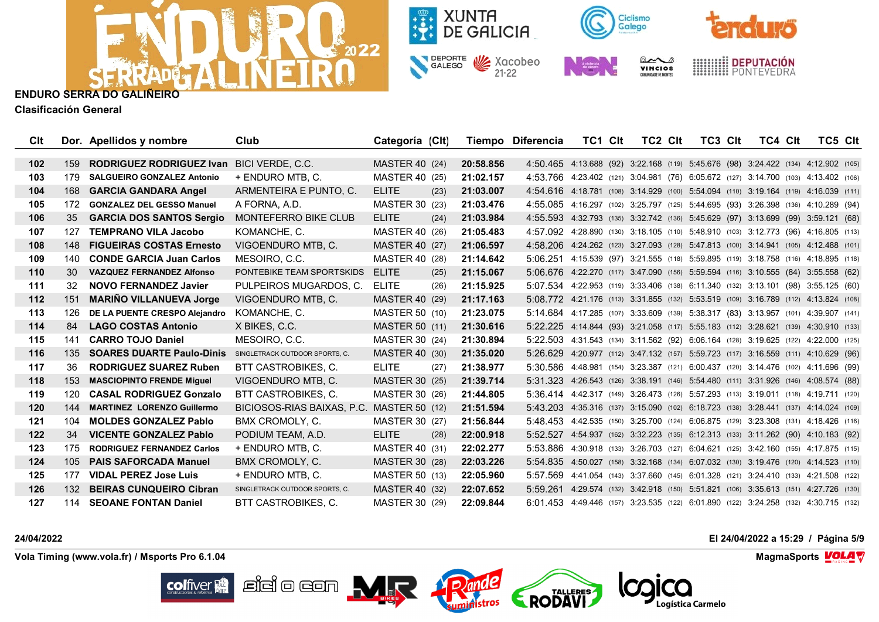



**Clasificación General**

| Clt   |     | Dor. Apellidos y nombre           | Club                                      | Categoría (Clt)       |      |           | Tiempo Diferencia                                                                   | TC1 Clt | TC2 CIt | TC3 CIt | TC4 Clt | TC5 Clt |  |
|-------|-----|-----------------------------------|-------------------------------------------|-----------------------|------|-----------|-------------------------------------------------------------------------------------|---------|---------|---------|---------|---------|--|
| 102   | 159 | <b>RODRIGUEZ RODRIGUEZ Ivan</b>   | BICI VERDE, C.C.                          | <b>MASTER 40 (24)</b> |      | 20:58.856 | 4:50.465 4:13.688 (92) 3:22.168 (119) 5:45.676 (98) 3:24.422 (134) 4:12.902 (105)   |         |         |         |         |         |  |
| 103   | 179 | <b>SALGUEIRO GONZALEZ Antonio</b> | + ENDURO MTB. C.                          | MASTER 40 (25)        |      | 21:02.157 | 4:53.766 4:23.402 (121) 3:04.981 (76) 6:05.672 (127) 3:14.700 (103) 4:13.402 (106)  |         |         |         |         |         |  |
| 104   | 168 | <b>GARCIA GANDARA Angel</b>       | ARMENTEIRA E PUNTO, C.                    | <b>ELITE</b>          | (23) | 21:03.007 | 4:54.616 4:18.781 (108) 3:14.929 (100) 5:54.094 (110) 3:19.164 (119) 4:16.039 (111) |         |         |         |         |         |  |
| 105   | 172 | <b>GONZALEZ DEL GESSO Manuel</b>  | A FORNA, A.D.                             | MASTER 30 (23)        |      | 21:03.476 | 4:55.085 4:16.297 (102) 3:25.797 (125) 5:44.695 (93) 3:26.398 (136) 4:10.289 (94)   |         |         |         |         |         |  |
| 106   | 35  | <b>GARCIA DOS SANTOS Sergio</b>   | <b>MONTEFERRO BIKE CLUB</b>               | <b>ELITE</b>          | (24) | 21:03.984 | 4:55.593 4:32.793 (135) 3:32.742 (136) 5:45.629 (97) 3:13.699 (99) 3:59.121 (68)    |         |         |         |         |         |  |
| 107   | 127 | <b>TEMPRANO VILA Jacobo</b>       | KOMANCHE, C.                              | MASTER 40 (26)        |      | 21:05.483 | 4:57.092 4:28.890 (130) 3:18.105 (110) 5:48.910 (103) 3:12.773 (96) 4:16.805 (113)  |         |         |         |         |         |  |
| 108   | 148 | <b>FIGUEIRAS COSTAS Ernesto</b>   | VIGOENDURO MTB, C.                        | <b>MASTER 40 (27)</b> |      | 21:06.597 | 4:58.206 4:24.262 (123) 3:27.093 (128) 5:47.813 (100) 3:14.941 (105) 4:12.488 (101) |         |         |         |         |         |  |
| 109   | 140 | <b>CONDE GARCIA Juan Carlos</b>   | MESOIRO, C.C.                             | <b>MASTER 40 (28)</b> |      | 21:14.642 | 5:06.251 4:15.539 (97) 3:21.555 (118) 5:59.895 (119) 3:18.758 (116) 4:18.895 (118)  |         |         |         |         |         |  |
| 110   | 30  | <b>VAZQUEZ FERNANDEZ Alfonso</b>  | PONTEBIKE TEAM SPORTSKIDS                 | <b>ELITE</b>          | (25) | 21:15.067 | 5:06.676 4:22.270 (117) 3:47.090 (156) 5:59.594 (116) 3:10.555 (84) 3:55.558 (62)   |         |         |         |         |         |  |
| 111   | 32  | <b>NOVO FERNANDEZ Javier</b>      | PULPEIROS MUGARDOS, C.                    | <b>ELITE</b>          | (26) | 21:15.925 | 5:07.534 4:22.953 (119) 3:33.406 (138) 6:11.340 (132) 3:13.101 (98) 3:55.125 (60)   |         |         |         |         |         |  |
| $112$ | 151 | <b>MARINO VILLANUEVA Jorge</b>    | VIGOENDURO MTB, C.                        | MASTER 40 (29)        |      | 21:17.163 | 5:08.772 4:21.176 (113) 3:31.855 (132) 5:53.519 (109) 3:16.789 (112) 4:13.824 (108) |         |         |         |         |         |  |
| 113   | 126 | DE LA PUENTE CRESPO Alejandro     | KOMANCHE, C.                              | <b>MASTER 50 (10)</b> |      | 21:23.075 | 5:14.684 4:17.285 (107) 3:33.609 (139) 5:38.317 (83) 3:13.957 (101) 4:39.907 (141)  |         |         |         |         |         |  |
| 114   | 84  | <b>LAGO COSTAS Antonio</b>        | X BIKES, C.C.                             | <b>MASTER 50 (11)</b> |      | 21:30.616 | 5:22.225 4:14.844 (93) 3:21.058 (117) 5:55.183 (112) 3:28.621 (139) 4:30.910 (133)  |         |         |         |         |         |  |
| 115   | 141 | <b>CARRO TOJO Daniel</b>          | MESOIRO, C.C.                             | MASTER 30 (24)        |      | 21:30.894 | 5:22.503 4:31.543 (134) 3:11.562 (92) 6:06.164 (128) 3:19.625 (122) 4:22.000 (125)  |         |         |         |         |         |  |
| 116   | 135 | <b>SOARES DUARTE Paulo-Dinis</b>  | SINGLETRACK OUTDOOR SPORTS, C.            | MASTER 40 (30)        |      | 21:35.020 | 5:26.629 4:20.977 (112) 3:47.132 (157) 5:59.723 (117) 3:16.559 (111) 4:10.629 (96)  |         |         |         |         |         |  |
| 117   | 36  | <b>RODRIGUEZ SUAREZ Ruben</b>     | BTT CASTROBIKES, C.                       | <b>ELITE</b>          | (27) | 21:38.977 | 5:30.586 4:48.981 (154) 3:23.387 (121) 6:00.437 (120) 3:14.476 (102) 4:11.696 (99)  |         |         |         |         |         |  |
| 118   | 153 | <b>MASCIOPINTO FRENDE Miguel</b>  | VIGOENDURO MTB, C.                        | MASTER 30 (25)        |      | 21:39.714 | 5:31.323 4:26.543 (126) 3:38.191 (146) 5:54.480 (111) 3:31.926 (146) 4:08.574 (88)  |         |         |         |         |         |  |
| 119   | 120 | <b>CASAL RODRIGUEZ Gonzalo</b>    | BTT CASTROBIKES, C.                       | MASTER 30 (26)        |      | 21:44.805 | 5:36.414 4:42.317 (149) 3:26.473 (126) 5:57.293 (113) 3:19.011 (118) 4:19.711 (120) |         |         |         |         |         |  |
| 120   |     | 144 MARTINEZ LORENZO Guillermo    | BICIOSOS-RIAS BAIXAS, P.C. MASTER 50 (12) |                       |      | 21:51.594 | 5:43.203 4:35.316 (137) 3:15.090 (102) 6:18.723 (138) 3:28.441 (137) 4:14.024 (109) |         |         |         |         |         |  |
| 121   | 104 | <b>MOLDES GONZALEZ Pablo</b>      | BMX CROMOLY, C.                           | MASTER 30 (27)        |      | 21:56.844 | 5:48.453 4:42.535 (150) 3:25.700 (124) 6:06.875 (129) 3:23.308 (131) 4:18.426 (116) |         |         |         |         |         |  |
| 122   | 34  | <b>VICENTE GONZALEZ Pablo</b>     | PODIUM TEAM, A.D.                         | <b>ELITE</b>          | (28) | 22:00.918 | 5:52.527 4:54.937 (162) 3:32.223 (135) 6:12.313 (133) 3:11.262 (90) 4:10.183 (92)   |         |         |         |         |         |  |
| 123   | 175 | <b>RODRIGUEZ FERNANDEZ Carlos</b> | + ENDURO MTB, C.                          | MASTER 40 (31)        |      | 22:02.277 | 5:53.886 4:30.918 (133) 3:26.703 (127) 6:04.621 (125) 3:42.160 (155) 4:17.875 (115) |         |         |         |         |         |  |
| 124   | 105 | <b>PAIS SAFORCADA Manuel</b>      | BMX CROMOLY, C.                           | MASTER 30 (28)        |      | 22:03.226 | 5:54.835 4:50.027 (158) 3:32.168 (134) 6:07.032 (130) 3:19.476 (120) 4:14.523 (110) |         |         |         |         |         |  |
| 125   | 177 | <b>VIDAL PEREZ Jose Luis</b>      | + ENDURO MTB, C.                          | <b>MASTER 50 (13)</b> |      | 22:05.960 | 5:57.569 4:41.054 (143) 3:37.660 (145) 6:01.328 (121) 3:24.410 (133) 4:21.508 (122) |         |         |         |         |         |  |
| 126   | 132 | <b>BEIRAS CUNQUEIRO Cibran</b>    | SINGLETRACK OUTDOOR SPORTS, C.            | <b>MASTER 40 (32)</b> |      | 22:07.652 | 5:59.261 4:29.574 (132) 3:42.918 (150) 5:51.821 (106) 3:35.613 (151) 4:27.726 (130) |         |         |         |         |         |  |
| 127   | 114 | <b>SEOANE FONTAN Daniel</b>       | BTT CASTROBIKES, C.                       | MASTER 30 (29)        |      | 22:09.844 | 6:01.453 4:49.446 (157) 3:23.535 (122) 6:01.890 (122) 3:24.258 (132) 4:30.715 (132) |         |         |         |         |         |  |

**24/04/2022 El 24/04/2022 a 15:29 / Página 5/9**

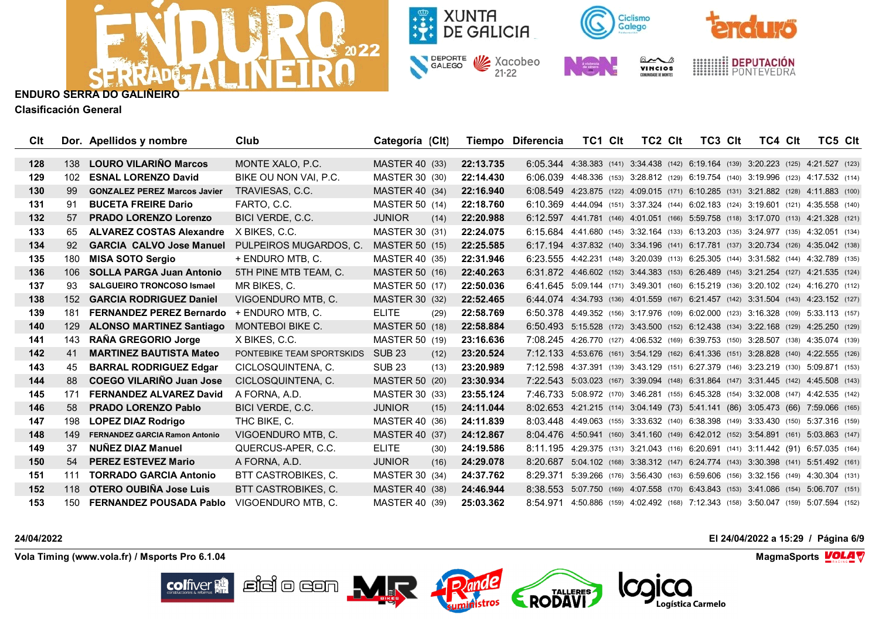



**Clasificación General**

| Clt              |                  | Dor. Apellidos y nombre               | Club                      | Categoría (Clt)       |      |           | Tiempo Diferencia                                                                   | TC1 Clt                                                                    | TC2 CIt | TC3 CIt | TC4 Clt | TC5 Clt |  |
|------------------|------------------|---------------------------------------|---------------------------|-----------------------|------|-----------|-------------------------------------------------------------------------------------|----------------------------------------------------------------------------|---------|---------|---------|---------|--|
| 128              | 138              | <b>LOURO VILARINO Marcos</b>          | MONTE XALO, P.C.          | MASTER 40 (33)        |      | 22:13.735 | 6:05.344 4:38.383 (141) 3:34.438 (142) 6:19.164 (139) 3:20.223 (125) 4:21.527 (123) |                                                                            |         |         |         |         |  |
| 129              | 102              | <b>ESNAL LORENZO David</b>            | BIKE OU NON VAI, P.C.     | MASTER 30 (30)        |      | 22:14.430 | 6:06.039 4:48.336 (153) 3:28.812 (129) 6:19.754 (140) 3:19.996 (123) 4:17.532 (114) |                                                                            |         |         |         |         |  |
| 130              | 99               | <b>GONZALEZ PEREZ Marcos Javier</b>   | TRAVIESAS, C.C.           | MASTER 40 (34)        |      | 22:16.940 | 6:08.549 4:23.875 (122) 4:09.015 (171) 6:10.285 (131) 3:21.882 (128) 4:11.883 (100) |                                                                            |         |         |         |         |  |
| 131              | 91               | <b>BUCETA FREIRE Dario</b>            | FARTO, C.C.               | MASTER 50 (14)        |      | 22:18.760 | 6:10.369 4:44.094 (151) 3:37.324 (144) 6:02.183 (124) 3:19.601 (121) 4:35.558 (140) |                                                                            |         |         |         |         |  |
| 132 <sub>2</sub> | 57               | <b>PRADO LORENZO Lorenzo</b>          | BICI VERDE, C.C.          | <b>JUNIOR</b>         | (14) | 22:20.988 | 6:12.597 4:41.781 (146) 4:01.051 (166) 5:59.758 (118) 3:17.070 (113) 4:21.328 (121) |                                                                            |         |         |         |         |  |
| 133              | 65               | <b>ALVAREZ COSTAS Alexandre</b>       | X BIKES, C.C.             | MASTER 30 (31)        |      | 22:24.075 | 6:15.684 4:41.680 (145) 3:32.164 (133) 6:13.203 (135) 3:24.977 (135) 4:32.051 (134) |                                                                            |         |         |         |         |  |
| 134              | 92               | <b>GARCIA CALVO Jose Manuel</b>       | PULPEIROS MUGARDOS, C.    | <b>MASTER 50 (15)</b> |      | 22:25.585 | 6:17.194 4:37.832 (140) 3:34.196 (141) 6:17.781 (137) 3:20.734 (126) 4:35.042 (138) |                                                                            |         |         |         |         |  |
| 135              | 180              | <b>MISA SOTO Sergio</b>               | + ENDURO MTB. C.          | MASTER 40 (35)        |      | 22:31.946 | 6:23.555 4:42.231 (148) 3:20.039 (113) 6:25.305 (144) 3:31.582 (144) 4:32.789 (135) |                                                                            |         |         |         |         |  |
| 136              | 106              | <b>SOLLA PARGA Juan Antonio</b>       | 5TH PINE MTB TEAM, C.     | <b>MASTER 50 (16)</b> |      | 22:40.263 | 6:31.872 4:46.602 (152) 3:44.383 (153) 6:26.489 (145) 3:21.254 (127) 4:21.535 (124) |                                                                            |         |         |         |         |  |
| 137              | 93               | <b>SALGUEIRO TRONCOSO Ismael</b>      | MR BIKES, C.              | MASTER 50 (17)        |      | 22:50.036 | 6:41.645 5:09.144 (171) 3:49.301 (160) 6:15.219 (136) 3:20.102 (124) 4:16.270 (112) |                                                                            |         |         |         |         |  |
| 138              | 152 <sub>1</sub> | <b>GARCIA RODRIGUEZ Daniel</b>        | VIGOENDURO MTB, C.        | <b>MASTER 30 (32)</b> |      | 22:52.465 | 6:44.074 4:34.793 (136) 4:01.559 (167) 6:21.457 (142) 3:31.504 (143) 4:23.152 (127) |                                                                            |         |         |         |         |  |
| 139              | 181              | <b>FERNANDEZ PEREZ Bernardo</b>       | + ENDURO MTB, C.          | <b>ELITE</b>          | (29) | 22:58.769 | 6:50.378 4:49.352 (156) 3:17.976 (109) 6:02.000 (123) 3:16.328 (109) 5:33.113 (157) |                                                                            |         |         |         |         |  |
| 140              | 129              | <b>ALONSO MARTINEZ Santiago</b>       | MONTEBOI BIKE C.          | <b>MASTER 50 (18)</b> |      | 22:58.884 | 6:50.493 5:15.528 (172) 3:43.500 (152) 6:12.438 (134) 3:22.168 (129) 4:25.250 (129) |                                                                            |         |         |         |         |  |
| 141              | 143              | RAÑA GREGORIO Jorge                   | X BIKES, C.C.             | MASTER 50 (19)        |      | 23:16.636 | 7:08.245 4:26.770 (127) 4:06.532 (169) 6:39.753 (150) 3:28.507 (138) 4:35.074 (139) |                                                                            |         |         |         |         |  |
| 142              | 41               | <b>MARTINEZ BAUTISTA Mateo</b>        | PONTEBIKE TEAM SPORTSKIDS | SUB 23                | (12) | 23:20.524 | 7:12.133 4:53.676 (161) 3:54.129 (162) 6:41.336 (151) 3:28.828 (140) 4:22.555 (126) |                                                                            |         |         |         |         |  |
| 143              | 45               | <b>BARRAL RODRIGUEZ Edgar</b>         | CICLOSQUINTENA, C.        | <b>SUB 23</b>         | (13) | 23:20.989 | 7:12.598 4:37.391 (139) 3:43.129 (151) 6:27.379 (146) 3:23.219 (130) 5:09.871 (153) |                                                                            |         |         |         |         |  |
| 144              | 88               | <b>COEGO VILARINO Juan Jose</b>       | CICLOSQUINTENA, C.        | <b>MASTER 50 (20)</b> |      | 23:30.934 | 7:22.543 5:03.023 (167) 3:39.094 (148) 6:31.864 (147) 3:31.445 (142) 4:45.508 (143) |                                                                            |         |         |         |         |  |
| 145              | 171              | <b>FERNANDEZ ALVAREZ David</b>        | A FORNA, A.D.             | MASTER 30 (33)        |      | 23:55.124 | 7:46.733 5:08.972 (170) 3:46.281 (155) 6:45.328 (154) 3:32.008 (147) 4:42.535 (142) |                                                                            |         |         |         |         |  |
| 146              | 58               | <b>PRADO LORENZO Pablo</b>            | BICI VERDE, C.C.          | <b>JUNIOR</b>         | (15) | 24:11.044 | 8:02.653 4:21.215 (114) 3:04.149 (73) 5:41.141 (86) 3:05.473 (66) 7:59.066 (165)    |                                                                            |         |         |         |         |  |
| 147              | 198              | <b>LOPEZ DIAZ Rodrigo</b>             | THC BIKE, C.              | MASTER 40 (36)        |      | 24:11.839 | 8:03.448 4:49.063 (155) 3:33.632 (140) 6:38.398 (149) 3:33.430 (150) 5:37.316 (159) |                                                                            |         |         |         |         |  |
| 148              | 149              | <b>FERNANDEZ GARCIA Ramon Antonio</b> | VIGOENDURO MTB, C.        | MASTER 40 (37)        |      | 24:12.867 | 8:04.476 4:50.941 (160) 3:41.160 (149) 6:42.012 (152) 3:54.891 (161) 5:03.863 (147) |                                                                            |         |         |         |         |  |
| 149              | 37               | <b>NUÑEZ DIAZ Manuel</b>              | QUERCUS-APER, C.C.        | <b>ELITE</b>          | (30) | 24:19.586 | 8:11.195 4:29.375 (131) 3:21.043 (116) 6:20.691 (141) 3:11.442 (91) 6:57.035 (164)  |                                                                            |         |         |         |         |  |
| 150              | 54               | <b>PEREZ ESTEVEZ Mario</b>            | A FORNA, A.D.             | <b>JUNIOR</b>         | (16) | 24:29.078 | 8:20.687 5:04.102 (168) 3:38.312 (147) 6:24.774 (143) 3:30.398 (141) 5:51.492 (161) |                                                                            |         |         |         |         |  |
| 151              | 111              | <b>TORRADO GARCIA Antonio</b>         | BTT CASTROBIKES, C.       | MASTER 30 (34)        |      | 24:37.762 | 8:29.371                                                                            | 5:39.266 (176) 3:56.430 (163) 6:59.606 (156) 3:32.156 (149) 4:30.304 (131) |         |         |         |         |  |
| 152              | 118              | OTERO OUBIÑA Jose Luis                | BTT CASTROBIKES, C.       | <b>MASTER 40 (38)</b> |      | 24:46.944 | 8:38.553 5:07.750 (169) 4:07.558 (170) 6:43.843 (153) 3:41.086 (154) 5:06.707 (151) |                                                                            |         |         |         |         |  |
| 153              | 150              | <b>FERNANDEZ POUSADA Pablo</b>        | VIGOENDURO MTB. C.        | MASTER 40 (39)        |      | 25:03.362 | 8:54.971                                                                            | 4:50.886 (159) 4:02.492 (168) 7:12.343 (158) 3:50.047 (159) 5:07.594 (152) |         |         |         |         |  |

**24/04/2022 El 24/04/2022 a 15:29 / Página 6/9**

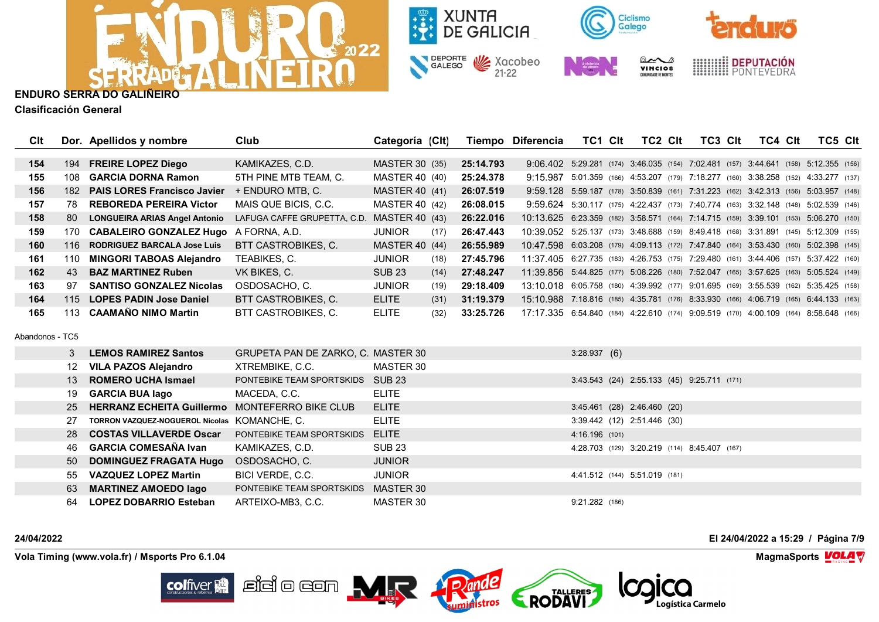



**Clasificación General**

| Clt |     | Dor. Apellidos y nombre              | <b>Club</b>                 | Categoría (Clt)       |      |           | Tiempo Diferencia                                                                    | TC1 Clt                                                                    | TC2 CIt | TC3 Clt | TC4 CIt | TC5 Clt |  |
|-----|-----|--------------------------------------|-----------------------------|-----------------------|------|-----------|--------------------------------------------------------------------------------------|----------------------------------------------------------------------------|---------|---------|---------|---------|--|
|     |     |                                      |                             |                       |      |           |                                                                                      |                                                                            |         |         |         |         |  |
| 154 | 194 | <b>FREIRE LOPEZ Diego</b>            | KAMIKAZES, C.D.             | MASTER 30 (35)        |      | 25:14.793 | 9:06.402 5:29.281 (174) 3:46.035 (154) 7:02.481 (157) 3:44.641 (158) 5:12.355 (156)  |                                                                            |         |         |         |         |  |
| 155 | 108 | <b>GARCIA DORNA Ramon</b>            | 5TH PINE MTB TEAM, C.       | MASTER 40 (40)        |      | 25:24.378 | 9:15.987                                                                             | 5:01.359 (166) 4:53.207 (179) 7:18.277 (160) 3:38.258 (152) 4:33.277 (137) |         |         |         |         |  |
| 156 | 182 | <b>PAIS LORES Francisco Javier</b>   | + ENDURO MTB. C.            | <b>MASTER 40 (41)</b> |      | 26:07.519 | 9:59.128 5:59.187 (178) 3:50.839 (161) 7:31.223 (162) 3:42.313 (156) 5:03.957 (148)  |                                                                            |         |         |         |         |  |
| 157 | 78  | <b>REBOREDA PEREIRA Victor</b>       | MAIS QUE BICIS, C.C.        | MASTER 40 (42)        |      | 26:08.015 | 9:59.624 5:30.117 (175) 4:22.437 (173) 7:40.774 (163) 3:32.148 (148) 5:02.539 (146)  |                                                                            |         |         |         |         |  |
| 158 | 80  | <b>LONGUEIRA ARIAS Angel Antonio</b> | LAFUGA CAFFE GRUPETTA, C.D. | MASTER 40 (43)        |      | 26:22.016 | 10:13.625 6:23.359 (182) 3:58.571 (164) 7:14.715 (159) 3:39.101 (153) 5:06.270 (150) |                                                                            |         |         |         |         |  |
| 159 | 170 | <b>CABALEIRO GONZALEZ Hugo</b>       | A FORNA, A.D.               | <b>JUNIOR</b>         | (17) | 26:47.443 | 10:39.052 5:25.137 (173) 3:48.688 (159) 8:49.418 (168) 3:31.891 (145) 5:12.309 (155) |                                                                            |         |         |         |         |  |
| 160 | 116 | <b>RODRIGUEZ BARCALA Jose Luis</b>   | <b>BTT CASTROBIKES, C.</b>  | MASTER 40 (44)        |      | 26:55.989 | 10:47.598 6:03.208 (179) 4:09.113 (172) 7:47.840 (164) 3:53.430 (160) 5:02.398 (145) |                                                                            |         |         |         |         |  |
| 161 | 110 | <b>MINGORI TABOAS Alejandro</b>      | TEABIKES, C.                | <b>JUNIOR</b>         | (18) | 27:45.796 | 11:37.405 6:27.735 (183) 4:26.753 (175) 7:29.480 (161) 3:44.406 (157) 5:37.422 (160) |                                                                            |         |         |         |         |  |
| 162 | 43  | <b>BAZ MARTINEZ Ruben</b>            | VK BIKES, C.                | <b>SUB 23</b>         | (14) | 27:48.247 | 11:39.856 5:44.825 (177) 5:08.226 (180) 7:52.047 (165) 3:57.625 (163) 5:05.524 (149) |                                                                            |         |         |         |         |  |
| 163 | 97  | <b>SANTISO GONZALEZ Nicolas</b>      | OSDOSACHO, C.               | <b>JUNIOR</b>         | (19) | 29:18.409 | 13:10.018 6:05.758 (180) 4:39.992 (177) 9:01.695 (169) 3:55.539 (162) 5:35.425 (158) |                                                                            |         |         |         |         |  |
| 164 | 115 | <b>LOPES PADIN Jose Daniel</b>       | <b>BTT CASTROBIKES, C.</b>  | <b>ELITE</b>          | (31) | 31:19.379 | 15:10.988 7:18.816 (185) 4:35.781 (176) 8:33.930 (166) 4:06.719 (165) 6:44.133 (163) |                                                                            |         |         |         |         |  |
| 165 | 113 | <b>CAAMANO NIMO Martin</b>           | <b>BTT CASTROBIKES, C.</b>  | <b>ELITE</b>          | (32) | 33:25.726 | 17:17.335 6:54.840 (184) 4:22.610 (174) 9:09.519 (170) 4:00.109 (164) 8:58.648 (166) |                                                                            |         |         |         |         |  |

Abandonos - TC5

| 3  | <b>LEMOS RAMIREZ Santos</b>                       | GRUPETA PAN DE ZARKO, C. MASTER 30 |               | 3:28.937(6)                                  |
|----|---------------------------------------------------|------------------------------------|---------------|----------------------------------------------|
| 12 | VILA PAZOS Alejandro                              | XTREMBIKE, C.C.                    | MASTER 30     |                                              |
|    | 13 ROMERO UCHA Ismael                             | PONTEBIKE TEAM SPORTSKIDS          | SUB 23        | 3:43.543 (24) 2:55.133 (45) 9:25.711 (171)   |
| 19 | <b>GARCIA BUA lago</b>                            | MACEDA, C.C.                       | <b>ELITE</b>  |                                              |
|    | 25 HERRANZ ECHEITA Guillermo MONTEFERRO BIKE CLUB |                                    | <b>ELITE</b>  | 3:45.461 (28) 2:46.460 (20)                  |
| 27 | TORRON VAZQUEZ-NOGUEROL Nicolas KOMANCHE, C.      |                                    | <b>ELITE</b>  | 3:39.442 (12) 2:51.446 (30)                  |
|    | 28 COSTAS VILLAVERDE Oscar                        | PONTEBIKE TEAM SPORTSKIDS          | <b>ELITE</b>  | 4:16.196 (101)                               |
|    | 46 GARCIA COMESAÑA Ivan                           | KAMIKAZES, C.D.                    | <b>SUB 23</b> | 4:28.703 (129) 3:20.219 (114) 8:45.407 (167) |
|    | 50 DOMINGUEZ FRAGATA Hugo                         | OSDOSACHO, C.                      | <b>JUNIOR</b> |                                              |
| 55 | <b>VAZQUEZ LOPEZ Martin</b>                       | BICI VERDE, C.C.                   | <b>JUNIOR</b> | 4:41.512 (144) 5:51.019 (181)                |
| 63 | <b>MARTINEZ AMOEDO lago</b>                       | PONTEBIKE TEAM SPORTSKIDS          | MASTER 30     |                                              |
| 64 | LOPEZ DOBARRIO Esteban                            | ARTEIXO-MB3, C.C.                  | MASTER 30     | $9:21.282$ (186)                             |

**24/04/2022 El 24/04/2022 a 15:29 / Página 7/9**

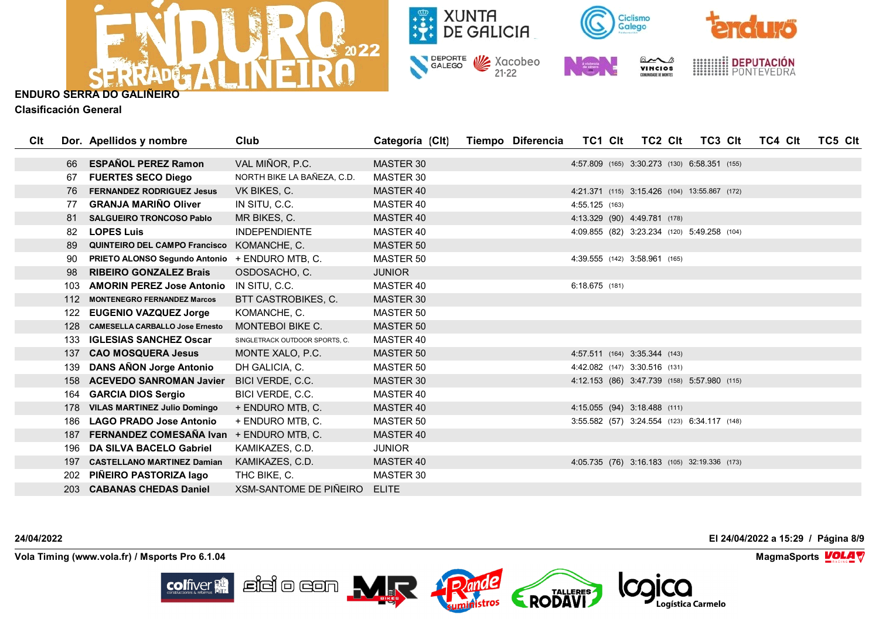



**Clasificación General**

| Clt |     | Dor. Apellidos y nombre                  | Club                           | Categoría (Clt)  | Tiempo Diferencia | TC1 CIt                       | TC2 Clt | TC3 CIt                                       | TC4 Clt | TC5 CIt |
|-----|-----|------------------------------------------|--------------------------------|------------------|-------------------|-------------------------------|---------|-----------------------------------------------|---------|---------|
|     |     |                                          |                                |                  |                   |                               |         |                                               |         |         |
|     | 66  | <b>ESPAÑOL PEREZ Ramon</b>               | VAL MIÑOR, P.C.                | MASTER 30        |                   |                               |         | 4:57.809 (165) 3:30.273 (130) 6:58.351 (155)  |         |         |
|     | 67  | <b>FUERTES SECO Diego</b>                | NORTH BIKE LA BAÑEZA, C.D.     | MASTER 30        |                   |                               |         |                                               |         |         |
|     | 76  | <b>FERNANDEZ RODRIGUEZ Jesus</b>         | VK BIKES, C.                   | MASTER 40        |                   |                               |         | 4:21.371 (115) 3:15.426 (104) 13:55.867 (172) |         |         |
|     | 77  | <b>GRANJA MARIÑO Oliver</b>              | IN SITU, C.C.                  | MASTER 40        |                   | 4:55.125 (163)                |         |                                               |         |         |
|     | 81  | <b>SALGUEIRO TRONCOSO Pablo</b>          | MR BIKES, C.                   | MASTER 40        |                   | 4:13.329 (90) 4:49.781 (178)  |         |                                               |         |         |
|     | 82  | <b>LOPES Luis</b>                        | <b>INDEPENDIENTE</b>           | MASTER 40        |                   |                               |         | 4:09.855 (82) 3:23.234 (120) 5:49.258 (104)   |         |         |
|     | -89 | <b>QUINTEIRO DEL CAMPO Francisco</b>     | KOMANCHE, C.                   | <b>MASTER 50</b> |                   |                               |         |                                               |         |         |
|     | 90  | <b>PRIETO ALONSO Segundo Antonio</b>     | + ENDURO MTB, C.               | MASTER 50        |                   | 4:39.555 (142) 3:58.961 (165) |         |                                               |         |         |
|     | 98  | <b>RIBEIRO GONZALEZ Brais</b>            | OSDOSACHO, C.                  | <b>JUNIOR</b>    |                   |                               |         |                                               |         |         |
|     | 103 | <b>AMORIN PEREZ Jose Antonio</b>         | IN SITU, C.C.                  | MASTER 40        |                   | $6:18.675$ (181)              |         |                                               |         |         |
|     | 112 | <b>MONTENEGRO FERNANDEZ Marcos</b>       | BTT CASTROBIKES, C.            | <b>MASTER 30</b> |                   |                               |         |                                               |         |         |
|     |     | 122 EUGENIO VAZQUEZ Jorge                | KOMANCHE, C.                   | MASTER 50        |                   |                               |         |                                               |         |         |
|     | 128 | <b>CAMESELLA CARBALLO Jose Ernesto</b>   | <b>MONTEBOI BIKE C.</b>        | <b>MASTER 50</b> |                   |                               |         |                                               |         |         |
|     | 133 | <b>IGLESIAS SANCHEZ Oscar</b>            | SINGLETRACK OUTDOOR SPORTS, C. | MASTER 40        |                   |                               |         |                                               |         |         |
|     | 137 | <b>CAO MOSQUERA Jesus</b>                | MONTE XALO, P.C.               | MASTER 50        |                   | 4:57.511 (164) 3:35.344 (143) |         |                                               |         |         |
|     | 139 | <b>DANS ANON Jorge Antonio</b>           | DH GALICIA, C.                 | <b>MASTER 50</b> |                   | 4:42.082 (147) 3:30.516 (131) |         |                                               |         |         |
|     | 158 | <b>ACEVEDO SANROMAN Javier</b>           | BICI VERDE, C.C.               | MASTER 30        |                   |                               |         | 4:12.153 (86) 3:47.739 (158) 5:57.980 (115)   |         |         |
|     | 164 | <b>GARCIA DIOS Sergio</b>                | BICI VERDE, C.C.               | MASTER 40        |                   |                               |         |                                               |         |         |
|     |     | 178 VILAS MARTINEZ Julio Domingo         | + ENDURO MTB, C.               | MASTER 40        |                   | 4:15.055 (94) 3:18.488 (111)  |         |                                               |         |         |
|     | 186 | <b>LAGO PRADO Jose Antonio</b>           | + ENDURO MTB, C.               | MASTER 50        |                   |                               |         | 3:55.582 (57) 3:24.554 (123) 6:34.117 (148)   |         |         |
|     | 187 | FERNANDEZ COMESAÑA Ivan + ENDURO MTB, C. |                                | MASTER 40        |                   |                               |         |                                               |         |         |
|     | 196 | DA SILVA BACELO Gabriel                  | KAMIKAZES, C.D.                | <b>JUNIOR</b>    |                   |                               |         |                                               |         |         |
|     |     | 197 CASTELLANO MARTINEZ Damian           | KAMIKAZES, C.D.                | MASTER 40        |                   |                               |         | 4:05.735 (76) 3:16.183 (105) 32:19.336 (173)  |         |         |
|     | 202 | PIÑEIRO PASTORIZA lago                   | THC BIKE, C.                   | MASTER 30        |                   |                               |         |                                               |         |         |
|     |     | 203 CABANAS CHEDAS Daniel                | XSM-SANTOME DE PIÑEIRO         | <b>ELITE</b>     |                   |                               |         |                                               |         |         |

**24/04/2022 El 24/04/2022 a 15:29 / Página 8/9**